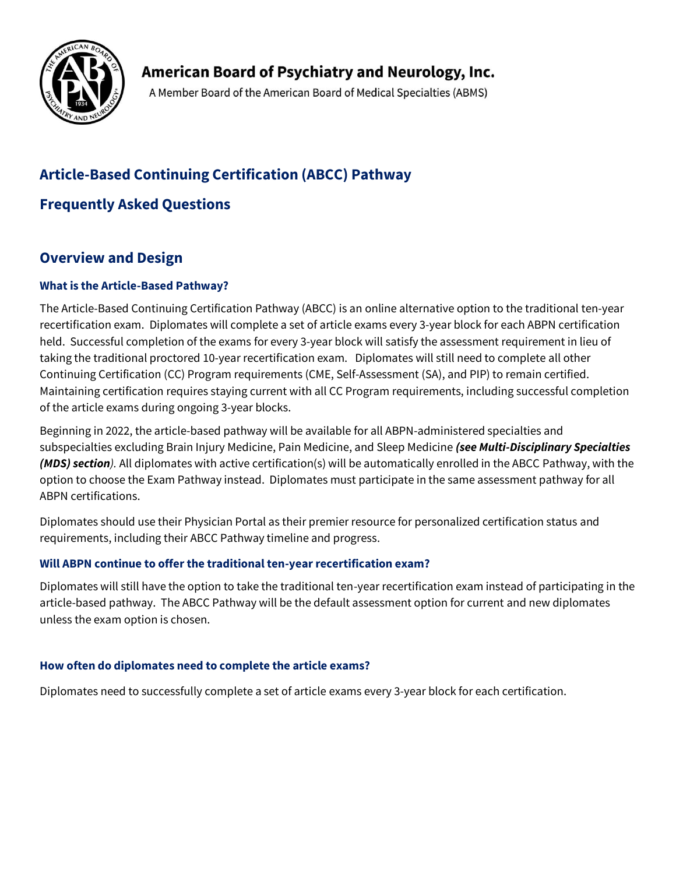

American Board of Psychiatry and Neurology, Inc.

A Member Board of the American Board of Medical Specialties (ABMS)

# **Article-Based Continuing Certification (ABCC) Pathway**

# **Frequently Asked Questions**

# **Overview and Design**

# **What is the Article-Based Pathway?**

The Article-Based Continuing Certification Pathway (ABCC) is an online alternative option to the traditional ten-year recertification exam. Diplomates will complete a set of article exams every 3-year block for each ABPN certification held. Successful completion of the exams for every 3-year block will satisfy the assessment requirement in lieu of taking the traditional proctored 10-year recertification exam. Diplomates will still need to complete all other Continuing Certification (CC) Program requirements (CME, Self-Assessment (SA), and PIP) to remain certified. Maintaining certification requires staying current with all CC Program requirements, including successful completion of the article exams during ongoing 3-year blocks.

Beginning in 2022, the article-based pathway will be available for all ABPN-administered specialties and subspecialties excluding Brain Injury Medicine, Pain Medicine, and Sleep Medicine *(see Multi-Disciplinary Specialties (MDS) section).* All diplomates with active certification(s) will be automatically enrolled in the ABCC Pathway, with the option to choose the Exam Pathway instead. Diplomates must participate in the same assessment pathway for all ABPN certifications.

Diplomates should use their Physician Portal as their premier resource for personalized certification status and requirements, including their ABCC Pathway timeline and progress.

# **Will ABPN continue to offer the traditional ten-year recertification exam?**

Diplomates will still have the option to take the traditional ten-year recertification exam instead of participating in the article-based pathway. The ABCC Pathway will be the default assessment option for current and new diplomates unless the exam option is chosen.

# **How often do diplomates need to complete the article exams?**

Diplomates need to successfully complete a set of article exams every 3-year block for each certification.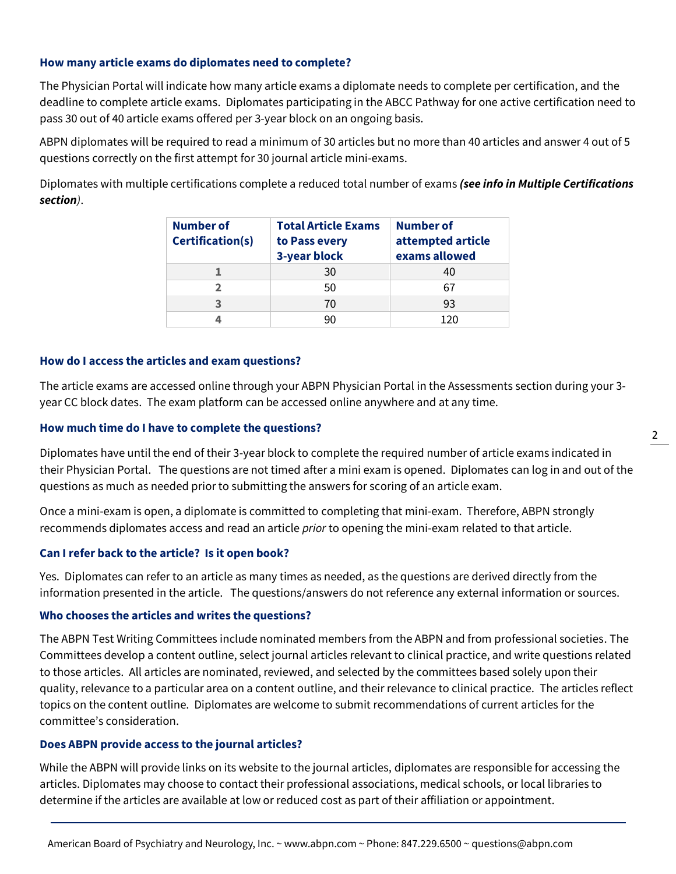### **How many article exams do diplomates need to complete?**

The Physician Portal will indicate how many article exams a diplomate needs to complete per certification, and the deadline to complete article exams. Diplomates participating in the ABCC Pathway for one active certification need to pass 30 out of 40 article exams offered per 3-year block on an ongoing basis.

ABPN diplomates will be required to read a minimum of 30 articles but no more than 40 articles and answer 4 out of 5 questions correctly on the first attempt for 30 journal article mini-exams.

Diplomates with multiple certifications complete a reduced total number of exams *(see info in Multiple Certifications section)*.

| <b>Number of</b><br>Certification(s) | <b>Total Article Exams</b><br>to Pass every<br>3-year block | Number of<br>attempted article<br>exams allowed |
|--------------------------------------|-------------------------------------------------------------|-------------------------------------------------|
|                                      | 30                                                          | 40                                              |
| 2                                    | 50                                                          |                                                 |
|                                      | 70                                                          | 93                                              |
|                                      | qn                                                          | 120                                             |

### **How do I access the articles and exam questions?**

The article exams are accessed online through your ABPN Physician Portal in the Assessments section during your 3 year CC block dates. The exam platform can be accessed online anywhere and at any time.

#### **How much time do I have to complete the questions?**

Diplomates have until the end of their 3-year block to complete the required number of article exams indicated in their Physician Portal. The questions are not timed after a mini exam is opened. Diplomates can log in and out of the questions as much as needed prior to submitting the answers for scoring of an article exam.

Once a mini-exam is open, a diplomate is committed to completing that mini-exam. Therefore, ABPN strongly recommends diplomates access and read an article *prior* to opening the mini-exam related to that article.

### **Can I refer back to the article? Is it open book?**

Yes. Diplomates can refer to an article as many times as needed, as the questions are derived directly from the information presented in the article. The questions/answers do not reference any external information or sources.

#### **Who chooses the articles and writes the questions?**

The ABPN Test Writing Committees include nominated members from the ABPN and from professional societies. The Committees develop a content outline, select journal articles relevant to clinical practice, and write questions related to those articles. All articles are nominated, reviewed, and selected by the committees based solely upon their quality, relevance to a particular area on a content outline, and their relevance to clinical practice. The articles reflect topics on the content outline. Diplomates are welcome to submit recommendations of current articles for the committee's consideration.

#### **Does ABPN provide access to the journal articles?**

While the ABPN will provide links on its website to the journal articles, diplomates are responsible for accessing the articles. Diplomates may choose to contact their professional associations, medical schools, or local libraries to determine if the articles are available at low or reduced cost as part of their affiliation or appointment.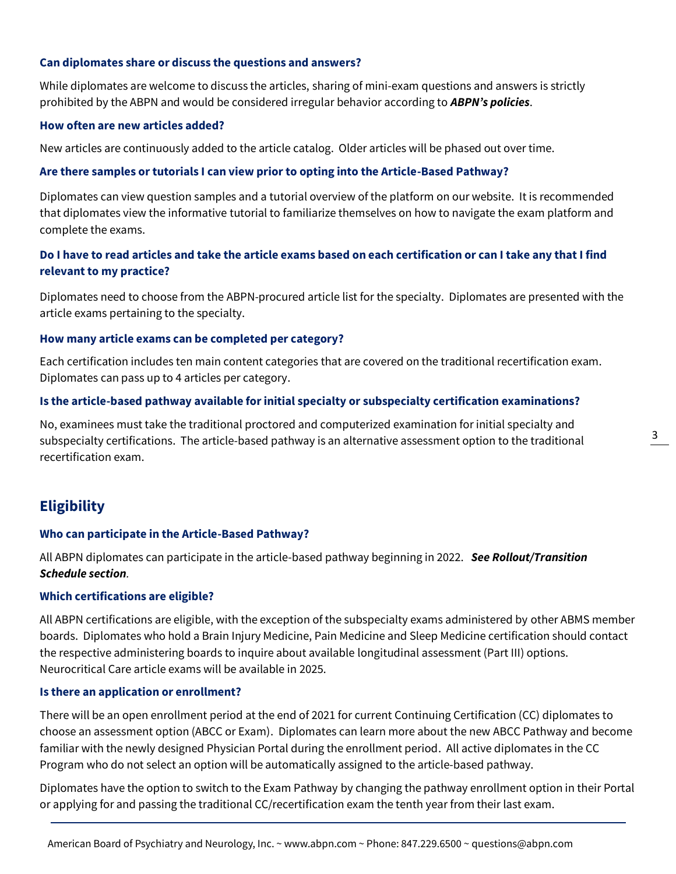### **Can diplomates share or discuss the questions and answers?**

While diplomates are welcome to discuss the articles, sharing of mini-exam questions and answers is strictly prohibited by the ABPN and would be considered irregular behavior according to *[ABPN's policies](https://www.abpn.com/wp-content/uploads/2021/09/2022-ABCC-Policy-Statement.pdf)*.

#### **How often are new articles added?**

New articles are continuously added to the article catalog. Older articles will be phased out over time.

#### **Are there samples or tutorials I can view prior to opting into the Article-Based Pathway?**

Diplomates can view question samples and a tutorial overview of the platform on our website. It is recommended that diplomates view the informative tutorial to familiarize themselves on how to navigate the exam platform and complete the exams.

# **Do I have to read articles and take the article exams based on each certification or can I take any that I find relevant to my practice?**

Diplomates need to choose from the ABPN-procured article list for the specialty. Diplomates are presented with the article exams pertaining to the specialty.

#### **How many article exams can be completed per category?**

Each certification includes ten main content categories that are covered on the traditional recertification exam. Diplomates can pass up to 4 articles per category.

#### **Is the article-based pathway available for initial specialty or subspecialty certification examinations?**

No, examinees must take the traditional proctored and computerized examination for initial specialty and subspecialty certifications. The article-based pathway is an alternative assessment option to the traditional recertification exam.

# **Eligibility**

### **Who can participate in the Article-Based Pathway?**

All ABPN diplomates can participate in the article-based pathway beginning in 2022. *See Rollout/Transition Schedule section.*

### **Which certifications are eligible?**

All ABPN certifications are eligible, with the exception of the subspecialty exams administered by other ABMS member boards. Diplomates who hold a Brain Injury Medicine, Pain Medicine and Sleep Medicine certification should contact the respective administering boards to inquire about available longitudinal assessment (Part III) options. Neurocritical Care article exams will be available in 2025.

### **Is there an application or enrollment?**

There will be an open enrollment period at the end of 2021 for current Continuing Certification (CC) diplomates to choose an assessment option (ABCC or Exam). Diplomates can learn more about the new ABCC Pathway and become familiar with the newly designed Physician Portal during the enrollment period. All active diplomates in the CC Program who do not select an option will be automatically assigned to the article-based pathway.

Diplomates have the option to switch to the Exam Pathway by changing the pathway enrollment option in their Portal or applying for and passing the traditional CC/recertification exam the tenth year from their last exam.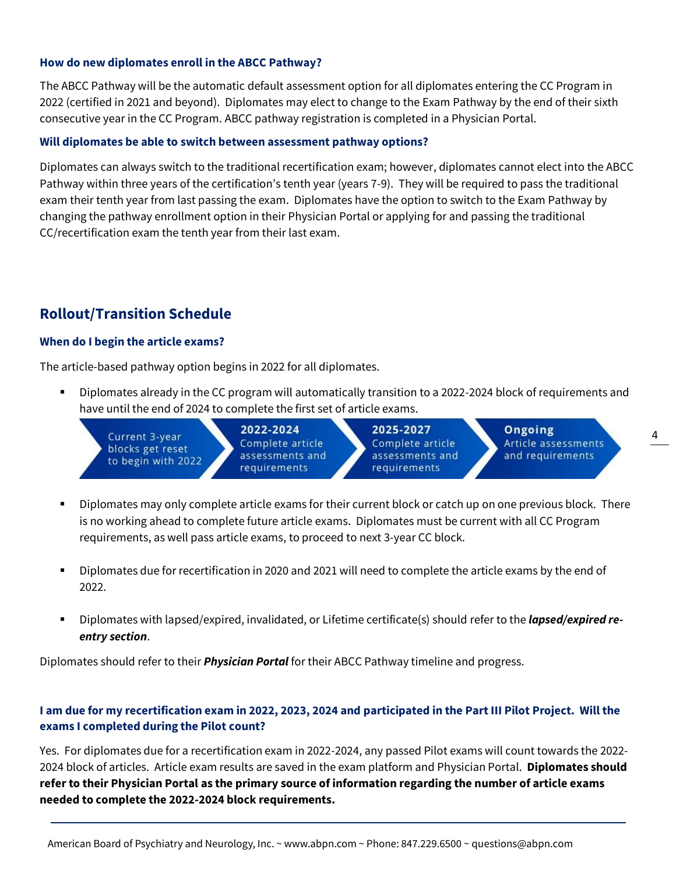### **How do new diplomates enroll in the ABCC Pathway?**

The ABCC Pathway will be the automatic default assessment option for all diplomates entering the CC Program in 2022 (certified in 2021 and beyond). Diplomates may elect to change to the Exam Pathway by the end of their sixth consecutive year in the CC Program. ABCC pathway registration is completed in a Physician Portal.

### **Will diplomates be able to switch between assessment pathway options?**

Diplomates can always switch to the traditional recertification exam; however, diplomates cannot elect into the ABCC Pathway within three years of the certification's tenth year (years 7-9). They will be required to pass the traditional exam their tenth year from last passing the exam. Diplomates have the option to switch to the Exam Pathway by changing the pathway enrollment option in their Physician Portal or applying for and passing the traditional CC/recertification exam the tenth year from their last exam.

# **Rollout/Transition Schedule**

### **When do I begin the article exams?**

The article-based pathway option begins in 2022 for all diplomates.

Diplomates already in the CC program will automatically transition to a 2022-2024 block of requirements and have until the end of 2024 to complete the first set of article exams.

| Current 3-year<br>blocks get reset<br>to begin with 2022 | 2022-2024<br>Complete article<br>assessments and<br>requirements | 2025-2027<br>Complete article<br>assessments and<br>requirements | Ongoing<br>Article assessments<br>and requirements |  |
|----------------------------------------------------------|------------------------------------------------------------------|------------------------------------------------------------------|----------------------------------------------------|--|
|----------------------------------------------------------|------------------------------------------------------------------|------------------------------------------------------------------|----------------------------------------------------|--|

- Diplomates may only complete article exams for their current block or catch up on one previous block. There is no working ahead to complete future article exams. Diplomates must be current with all CC Program requirements, as well pass article exams, to proceed to next 3-year CC block.
- Diplomates due for recertification in 2020 and 2021 will need to complete the article exams by the end of 2022.
- Diplomates with lapsed/expired, invalidated, or Lifetime certificate(s) should refer to the *lapsed/expired reentry section*.

Diplomates should refer to their *[Physician Portal](https://application.abpn.com/webclient/folios.aspx)* for their ABCC Pathway timeline and progress.

# **I am due for my recertification exam in 2022, 2023, 2024 and participated in the Part III Pilot Project. Will the exams I completed during the Pilot count?**

Yes. For diplomates due for a recertification exam in 2022-2024, any passed Pilot exams will count towards the 2022- 2024 block of articles. Article exam results are saved in the exam platform and Physician Portal. **Diplomates should refer to their Physician Portal as the primary source of information regarding the number of article exams needed to complete the 2022-2024 block requirements.**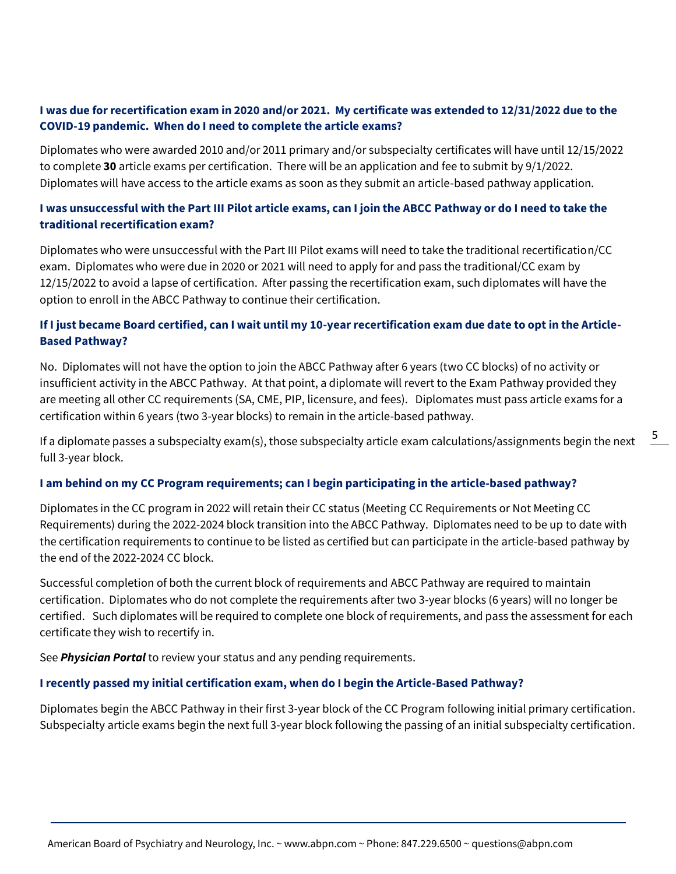# **I was due for recertification exam in 2020 and/or 2021. My certificate was extended to 12/31/2022 due to the COVID-19 pandemic. When do I need to complete the article exams?**

Diplomates who were awarded 2010 and/or 2011 primary and/or subspecialty certificates will have until 12/15/2022 to complete **30** article exams per certification. There will be an application and fee to submit by 9/1/2022. Diplomates will have access to the article exams as soon as they submit an article-based pathway application.

# **I was unsuccessful with the Part III Pilot article exams, can I join the ABCC Pathway or do I need to take the traditional recertification exam?**

Diplomates who were unsuccessful with the Part III Pilot exams will need to take the traditional recertification/CC exam. Diplomates who were due in 2020 or 2021 will need to apply for and pass the traditional/CC exam by 12/15/2022 to avoid a lapse of certification. After passing the recertification exam, such diplomates will have the option to enroll in the ABCC Pathway to continue their certification.

# **If I just became Board certified, can I wait until my 10-year recertification exam due date to opt in the Article-Based Pathway?**

No. Diplomates will not have the option to join the ABCC Pathway after 6 years (two CC blocks) of no activity or insufficient activity in the ABCC Pathway. At that point, a diplomate will revert to the Exam Pathway provided they are meeting all other CC requirements (SA, CME, PIP, licensure, and fees). Diplomates must pass article exams for a certification within 6 years (two 3-year blocks) to remain in the article-based pathway.

If a diplomate passes a subspecialty exam(s), those subspecialty article exam calculations/assignments begin the next full 3-year block.

## **I am behind on my CC Program requirements; can I begin participating in the article-based pathway?**

Diplomates in the CC program in 2022 will retain their CC status (Meeting CC Requirements or Not Meeting CC Requirements) during the 2022-2024 block transition into the ABCC Pathway. Diplomates need to be up to date with the certification requirements to continue to be listed as certified but can participate in the article-based pathway by the end of the 2022-2024 CC block.

Successful completion of both the current block of requirements and ABCC Pathway are required to maintain certification. Diplomates who do not complete the requirements after two 3-year blocks (6 years) will no longer be certified. Such diplomates will be required to complete one block of requirements, and pass the assessment for each certificate they wish to recertify in.

See *[Physician Portal](https://application.abpn.com/webclient/folios.aspx)* to review your status and any pending requirements.

## **I recently passed my initial certification exam, when do I begin the Article-Based Pathway?**

Diplomates begin the ABCC Pathway in their first 3-year block of the CC Program following initial primary certification. Subspecialty article exams begin the next full 3-year block following the passing of an initial subspecialty certification.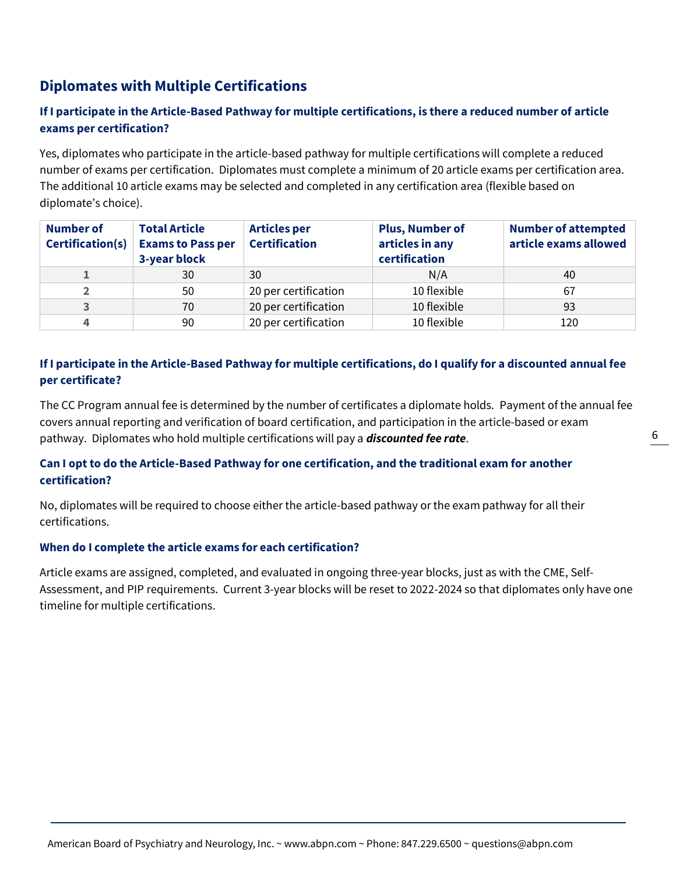# **Diplomates with Multiple Certifications**

# **If I participate in the Article-Based Pathway for multiple certifications, is there a reduced number of article exams per certification?**

Yes, diplomates who participate in the article-based pathway for multiple certifications will complete a reduced number of exams per certification. Diplomates must complete a minimum of 20 article exams per certification area. The additional 10 article exams may be selected and completed in any certification area (flexible based on diplomate's choice).

| <b>Number of</b><br><b>Certification(s)</b> | <b>Total Article</b><br><b>Exams to Pass per</b><br>3-year block | <b>Articles per</b><br><b>Certification</b> | <b>Plus, Number of</b><br>articles in any<br>certification | <b>Number of attempted</b><br>article exams allowed |
|---------------------------------------------|------------------------------------------------------------------|---------------------------------------------|------------------------------------------------------------|-----------------------------------------------------|
|                                             | 30                                                               | 30                                          | N/A                                                        | 40                                                  |
|                                             | 50                                                               | 20 per certification                        | 10 flexible                                                | 67                                                  |
|                                             | 70                                                               | 20 per certification                        | 10 flexible                                                | 93                                                  |
|                                             | 90                                                               | 20 per certification                        | 10 flexible                                                | 120                                                 |

# **If I participate in the Article-Based Pathway for multiple certifications, do I qualify for a discounted annual fee per certificate?**

The CC Program annual fee is determined by the number of certificates a diplomate holds. Payment of the annual fee covers annual reporting and verification of board certification, and participation in the article-based or exam pathway. Diplomates who hold multiple certifications will pay a *discounted fee rate*.

# **Can I opt to do the Article-Based Pathway for one certification, and the traditional exam for another certification?**

No, diplomates will be required to choose either the article-based pathway or the exam pathway for all their certifications.

## **When do I complete the article exams for each certification?**

Article exams are assigned, completed, and evaluated in ongoing three-year blocks, just as with the CME, Self-Assessment, and PIP requirements. Current 3-year blocks will be reset to 2022-2024 so that diplomates only have one timeline for multiple certifications.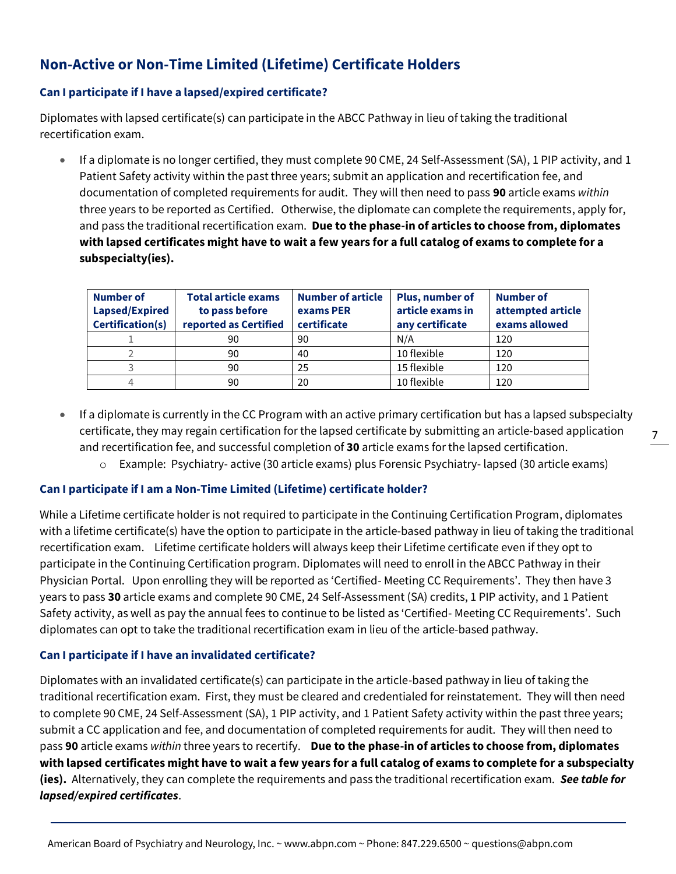# **Non-Active or Non-Time Limited (Lifetime) Certificate Holders**

## **Can I participate if I have a lapsed/expired certificate?**

Diplomates with lapsed certificate(s) can participate in the ABCC Pathway in lieu of taking the traditional recertification exam.

• If a diplomate is no longer certified, they must complete 90 CME, 24 Self-Assessment (SA), 1 PIP activity, and 1 Patient Safety activity within the past three years; submit an application and recertification fee, and documentation of completed requirements for audit. They will then need to pass **90** article exams *within*  three years to be reported as Certified. Otherwise, the diplomate can complete the requirements, apply for, and pass the traditional recertification exam. **Due to the phase-in of articles to choose from, diplomates with lapsed certificates might have to wait a few years for a full catalog of exams to complete for a subspecialty(ies).**

| <b>Number of</b><br>Lapsed/Expired<br><b>Certification(s)</b> | <b>Total article exams</b><br>to pass before<br>reported as Certified | <b>Number of article</b><br>exams PER<br>certificate | <b>Plus, number of</b><br>article exams in<br>any certificate | <b>Number of</b><br>attempted article<br>exams allowed |
|---------------------------------------------------------------|-----------------------------------------------------------------------|------------------------------------------------------|---------------------------------------------------------------|--------------------------------------------------------|
|                                                               | 90                                                                    | 90                                                   | N/A                                                           | 120                                                    |
|                                                               | 90                                                                    | 40                                                   | 10 flexible                                                   | 120                                                    |
|                                                               | 90                                                                    | 25                                                   | 15 flexible                                                   | 120                                                    |
| 4                                                             | 90                                                                    | 20                                                   | 10 flexible                                                   | 120                                                    |

• If a diplomate is currently in the CC Program with an active primary certification but has a lapsed subspecialty certificate, they may regain certification for the lapsed certificate by submitting an article-based application and recertification fee, and successful completion of **30** article exams for the lapsed certification.

7

o Example: Psychiatry- active (30 article exams) plus Forensic Psychiatry- lapsed (30 article exams)

## **Can I participate if I am a Non-Time Limited (Lifetime) certificate holder?**

While a Lifetime certificate holder is not required to participate in the Continuing Certification Program, diplomates with a lifetime certificate(s) have the option to participate in the article-based pathway in lieu of taking the traditional recertification exam. Lifetime certificate holders will always keep their Lifetime certificate even if they opt to participate in the Continuing Certification program. Diplomates will need to enroll in the ABCC Pathway in their Physician Portal. Upon enrolling they will be reported as 'Certified- Meeting CC Requirements'. They then have 3 years to pass **30** article exams and complete 90 CME, 24 Self-Assessment (SA) credits, 1 PIP activity, and 1 Patient Safety activity, as well as pay the annual fees to continue to be listed as 'Certified- Meeting CC Requirements'. Such diplomates can opt to take the traditional recertification exam in lieu of the article-based pathway.

## **Can I participate if I have an invalidated certificate?**

Diplomates with an invalidated certificate(s) can participate in the article-based pathway in lieu of taking the traditional recertification exam. First, they must be cleared and credentialed for reinstatement. They will then need to complete 90 CME, 24 Self-Assessment (SA), 1 PIP activity, and 1 Patient Safety activity within the past three years; submit a CC application and fee, and documentation of completed requirements for audit. They will then need to pass **90** article exams *within* three years to recertify. **Due to the phase-in of articles to choose from, diplomates with lapsed certificates might have to wait a few years for a full catalog of exams to complete for a subspecialty (ies).** Alternatively, they can complete the requirements and pass the traditional recertification exam. *See table for lapsed/expired certificates*.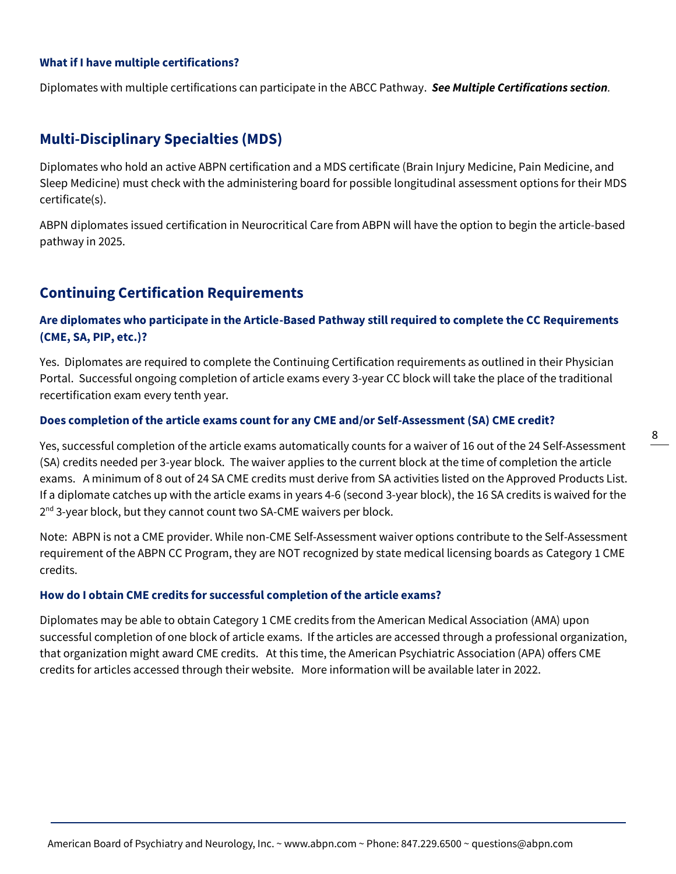### **What if I have multiple certifications?**

Diplomates with multiple certifications can participate in the ABCC Pathway. *See Multiple Certifications section.*

# **Multi-Disciplinary Specialties (MDS)**

Diplomates who hold an active ABPN certification and a MDS certificate (Brain Injury Medicine, Pain Medicine, and Sleep Medicine) must check with the administering board for possible longitudinal assessment options for their MDS certificate(s).

ABPN diplomates issued certification in Neurocritical Care from ABPN will have the option to begin the article-based pathway in 2025.

# **Continuing Certification Requirements**

## **Are diplomates who participate in the Article-Based Pathway still required to complete the CC Requirements (CME, SA, PIP, etc.)?**

Yes. Diplomates are required to complete the Continuing Certification requirements as outlined in their Physician Portal. Successful ongoing completion of article exams every 3-year CC block will take the place of the traditional recertification exam every tenth year.

#### **Does completion of the article exams count for any CME and/or Self-Assessment (SA) CME credit?**

Yes, successful completion of the article exams automatically counts for a waiver of 16 out of the 24 Self-Assessment (SA) credits needed per 3-year block. The waiver applies to the current block at the time of completion the article exams. A minimum of 8 out of 24 SA CME credits must derive from SA activities listed on the Approved Products List. If a diplomate catches up with the article exams in years 4-6 (second 3-year block), the 16 SA credits is waived for the 2<sup>nd</sup> 3-year block, but they cannot count two SA-CME waivers per block.

Note: ABPN is not a CME provider. While non-CME Self-Assessment waiver options contribute to the Self-Assessment requirement of the ABPN CC Program, they are NOT recognized by state medical licensing boards as Category 1 CME credits.

#### **How do I obtain CME credits for successful completion of the article exams?**

Diplomates may be able to obtain Category 1 CME credits from the American Medical Association (AMA) upon successful completion of one block of article exams. If the articles are accessed through a professional organization, that organization might award CME credits. At this time, the American Psychiatric Association (APA) offers CME credits for articles accessed through their website. More information will be available later in 2022.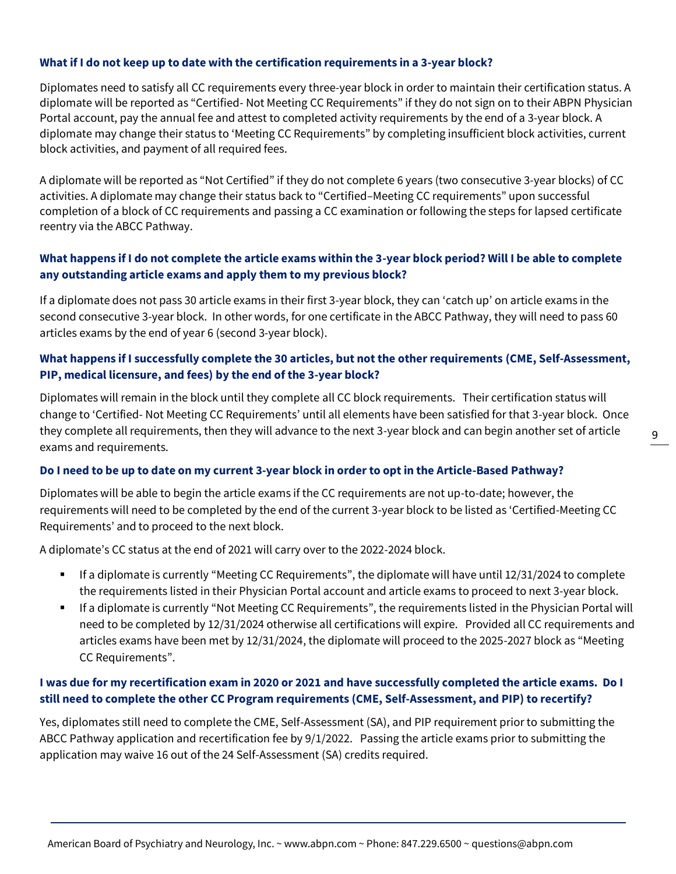## **What if I do not keep up to date with the certification requirements in a 3-year block?**

Diplomates need to satisfy all CC requirements every three-year block in order to maintain their certification status. A diplomate will be reported as "Certified- Not Meeting CC Requirements" if they do not sign on to their ABPN Physician Portal account, pay the annual fee and attest to completed activity requirements by the end of a 3-year block. A diplomate may change their status to 'Meeting CC Requirements" by completing insufficient block activities, current block activities, and payment of all required fees.

A diplomate will be reported as "Not Certified" if they do not complete 6 years (two consecutive 3-year blocks) of CC activities. A diplomate may change their status back to "Certified–Meeting CC requirements" upon successful completion of a block of CC requirements and passing a CC examination or following the steps for lapsed certificate reentry via the ABCC Pathway.

# **What happens if I do not complete the article exams within the 3-year block period? Will I be able to complete any outstanding article exams and apply them to my previous block?**

If a diplomate does not pass 30 article exams in their first 3-year block, they can 'catch up' on article exams in the second consecutive 3-year block. In other words, for one certificate in the ABCC Pathway, they will need to pass 60 articles exams by the end of year 6 (second 3-year block).

# **What happens if I successfully complete the 30 articles, but not the other requirements (CME, Self-Assessment, PIP, medical licensure, and fees) by the end of the 3-year block?**

Diplomates will remain in the block until they complete all CC block requirements. Their certification status will change to 'Certified- Not Meeting CC Requirements' until all elements have been satisfied for that 3-year block. Once they complete all requirements, then they will advance to the next 3-year block and can begin another set of article exams and requirements.

### **Do I need to be up to date on my current 3-year block in order to opt in the Article-Based Pathway?**

Diplomates will be able to begin the article exams if the CC requirements are not up-to-date; however, the requirements will need to be completed by the end of the current 3-year block to be listed as 'Certified-Meeting CC Requirements' and to proceed to the next block.

A diplomate's CC status at the end of 2021 will carry over to the 2022-2024 block.

- If a diplomate is currently "Meeting CC Requirements", the diplomate will have until 12/31/2024 to complete the requirements listed in their Physician Portal account and article exams to proceed to next 3-year block.
- If a diplomate is currently "Not Meeting CC Requirements", the requirements listed in the Physician Portal will need to be completed by 12/31/2024 otherwise all certifications will expire. Provided all CC requirements and articles exams have been met by 12/31/2024, the diplomate will proceed to the 2025-2027 block as "Meeting CC Requirements".

# **I was due for my recertification exam in 2020 or 2021 and have successfully completed the article exams. Do I still need to complete the other CC Program requirements (CME, Self-Assessment, and PIP) to recertify?**

Yes, diplomates still need to complete the CME, Self-Assessment (SA), and PIP requirement prior to submitting the ABCC Pathway application and recertification fee by 9/1/2022. Passing the article exams prior to submitting the application may waive 16 out of the 24 Self-Assessment (SA) credits required.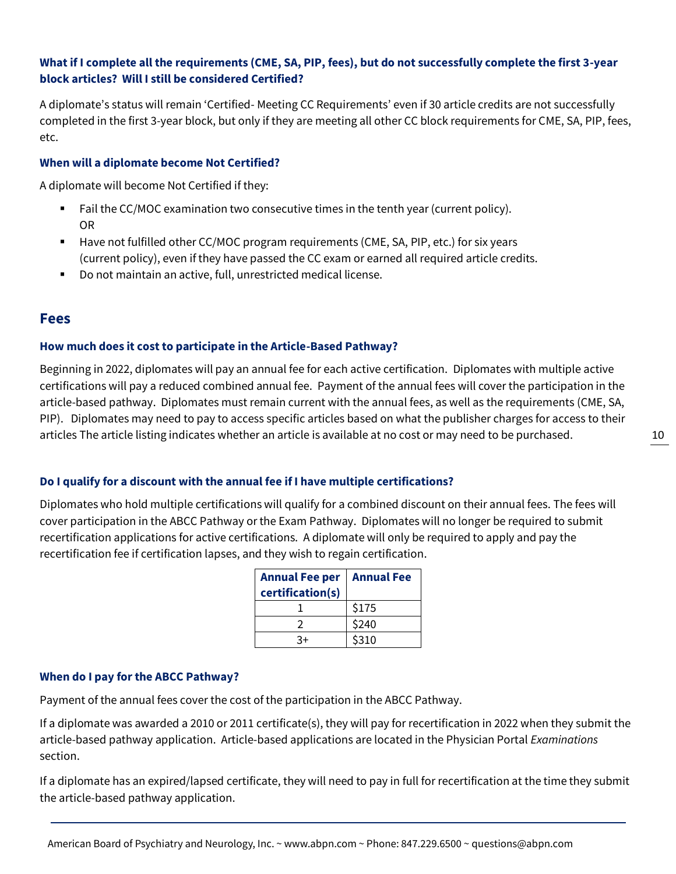# American Board of Psychiatry and Neurolog[y, Inc. ~ www.abpn.co](http://www.abpn.com/)m ~ Phone: 847.229.6500 ~ questions@abpn.com

# **What if I complete all the requirements (CME, SA, PIP, fees), but do not successfully complete the first 3-year block articles? Will I still be considered Certified?**

A diplomate's status will remain 'Certified- Meeting CC Requirements' even if 30 article credits are not successfully completed in the first 3-year block, but only if they are meeting all other CC block requirements for CME, SA, PIP, fees, etc.

### **When will a diplomate become Not Certified?**

A diplomate will become Not Certified if they:

- Fail the CC/MOC examination two consecutive times in the tenth year (current policy). OR
- Have not fulfilled other CC/MOC program requirements (CME, SA, PIP, etc.) for six years (current policy), even if they have passed the CC exam or earned all required article credits.
- Do not maintain an active, full, unrestricted medical license.

# **Fees**

## **How much does it cost to participate in the Article-Based Pathway?**

Beginning in 2022, diplomates will pay an annual fee for each active certification. Diplomates with multiple active certifications will pay a reduced combined annual fee. Payment of the annual fees will cover the participation in the article-based pathway. Diplomates must remain current with the annual fees, as well as the requirements (CME, SA, PIP). Diplomates may need to pay to access specific articles based on what the publisher charges for access to their articles The article listing indicates whether an article is available at no cost or may need to be purchased.

### **Do I qualify for a discount with the annual fee if I have multiple certifications?**

Diplomates who hold multiple certifications will qualify for a combined discount on their annual fees. The fees will cover participation in the ABCC Pathway or the Exam Pathway. Diplomates will no longer be required to submit recertification applications for active certifications. A diplomate will only be required to apply and pay the recertification fee if certification lapses, and they wish to regain certification.

| Annual Fee per<br>certification(s) | <b>Annual Fee</b> |
|------------------------------------|-------------------|
|                                    | \$175             |
|                                    | \$240             |
| 2+                                 | \$310             |

### **When do I pay for the ABCC Pathway?**

Payment of the annual fees cover the cost of the participation in the ABCC Pathway.

If a diplomate was awarded a 2010 or 2011 certificate(s), they will pay for recertification in 2022 when they submit the article-based pathway application. Article-based applications are located in the Physician Portal *Examinations* section.

If a diplomate has an expired/lapsed certificate, they will need to pay in full for recertification at the time they submit the article-based pathway application.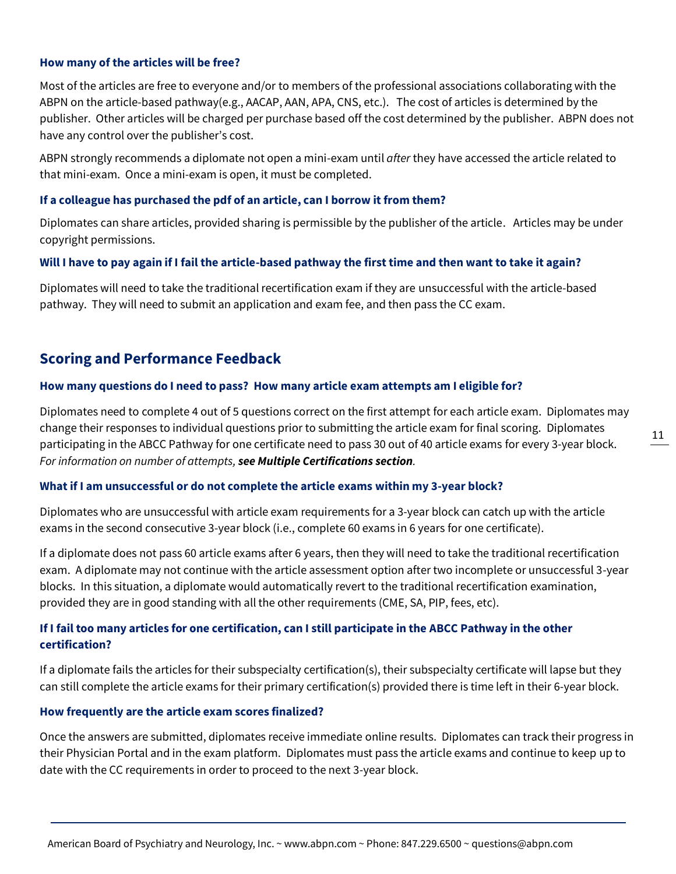### **How many of the articles will be free?**

Most of the articles are free to everyone and/or to members of the professional associations collaborating with the ABPN on the article-based pathway(e.g., AACAP, AAN, APA, CNS, etc.). The cost of articles is determined by the publisher. Other articles will be charged per purchase based off the cost determined by the publisher. ABPN does not have any control over the publisher's cost.

ABPN strongly recommends a diplomate not open a mini-exam until *after* they have accessed the article related to that mini-exam. Once a mini-exam is open, it must be completed.

### **If a colleague has purchased the pdf of an article, can I borrow it from them?**

Diplomates can share articles, provided sharing is permissible by the publisher of the article. Articles may be under copyright permissions.

### **Will I have to pay again if I fail the article-based pathway the first time and then want to take it again?**

Diplomates will need to take the traditional recertification exam if they are unsuccessful with the article-based pathway. They will need to submit an application and exam fee, and then pass the CC exam.

# **Scoring and Performance Feedback**

### **How many questions do I need to pass? How many article exam attempts am I eligible for?**

Diplomates need to complete 4 out of 5 questions correct on the first attempt for each article exam. Diplomates may change their responses to individual questions prior to submitting the article exam for final scoring. Diplomates participating in the ABCC Pathway for one certificate need to pass 30 out of 40 article exams for every 3-year block. *For information on number of attempts, see Multiple Certifications section.*

## **What if I am unsuccessful or do not complete the article exams within my 3-year block?**

Diplomates who are unsuccessful with article exam requirements for a 3-year block can catch up with the article exams in the second consecutive 3-year block (i.e., complete 60 exams in 6 years for one certificate).

If a diplomate does not pass 60 article exams after 6 years, then they will need to take the traditional recertification exam. A diplomate may not continue with the article assessment option after two incomplete or unsuccessful 3-year blocks. In this situation, a diplomate would automatically revert to the traditional recertification examination, provided they are in good standing with all the other requirements (CME, SA, PIP, fees, etc).

# **If I fail too many articles for one certification, can I still participate in the ABCC Pathway in the other certification?**

If a diplomate fails the articles for their subspecialty certification(s), their subspecialty certificate will lapse but they can still complete the article exams for their primary certification(s) provided there is time left in their 6-year block.

### **How frequently are the article exam scores finalized?**

Once the answers are submitted, diplomates receive immediate online results. Diplomates can track their progress in their Physician Portal and in the exam platform. Diplomates must pass the article exams and continue to keep up to date with the CC requirements in order to proceed to the next 3-year block.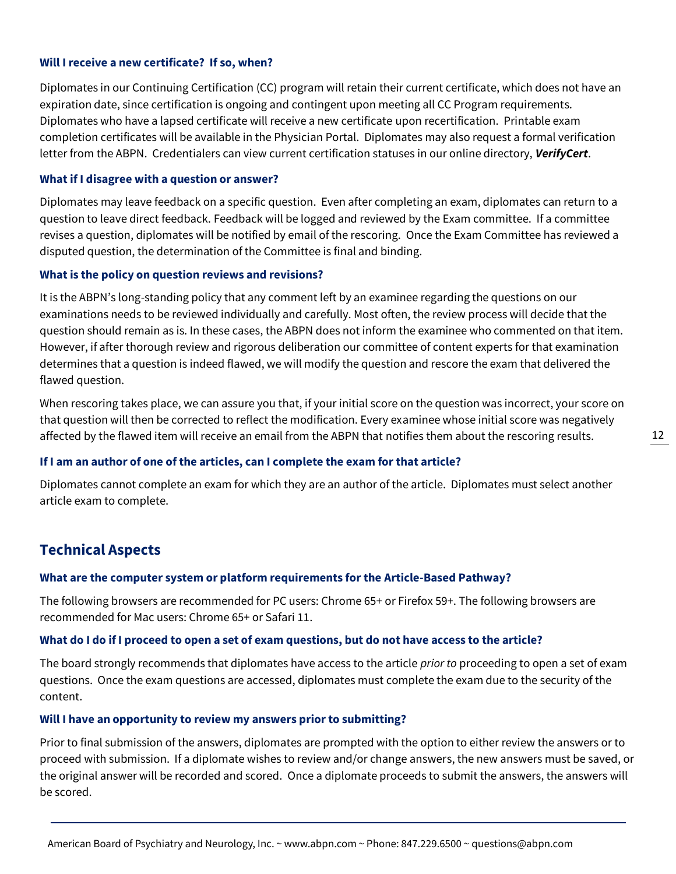### **Will I receive a new certificate? If so, when?**

Diplomates in our Continuing Certification (CC) program will retain their current certificate, which does not have an expiration date, since certification is ongoing and contingent upon meeting all CC Program requirements. Diplomates who have a lapsed certificate will receive a new certificate upon recertification. Printable exam completion certificates will be available in the Physician Portal. Diplomates may also request a formal verification letter from the ABPN. Credentialers can view current certification statuses in our online directory, *[VerifyCert](https://application.abpn.com/verifycert/verifycert.asp)*.

#### **What if I disagree with a question or answer?**

Diplomates may leave feedback on a specific question. Even after completing an exam, diplomates can return to a question to leave direct feedback. Feedback will be logged and reviewed by the Exam committee. If a committee revises a question, diplomates will be notified by email of the rescoring. Once the Exam Committee has reviewed a disputed question, the determination of the Committee is final and binding.

#### **What is the policy on question reviews and revisions?**

It is the ABPN's long-standing policy that any comment left by an examinee regarding the questions on our examinations needs to be reviewed individually and carefully. Most often, the review process will decide that the question should remain as is. In these cases, the ABPN does not inform the examinee who commented on that item. However, if after thorough review and rigorous deliberation our committee of content experts for that examination determines that a question is indeed flawed, we will modify the question and rescore the exam that delivered the flawed question.

When rescoring takes place, we can assure you that, if your initial score on the question was incorrect, your score on that question will then be corrected to reflect the modification. Every examinee whose initial score was negatively affected by the flawed item will receive an email from the ABPN that notifies them about the rescoring results.

#### **If I am an author of one of the articles, can I complete the exam for that article?**

Diplomates cannot complete an exam for which they are an author of the article. Diplomates must select another article exam to complete.

# **Technical Aspects**

#### **What are the computer system or platform requirements for the Article-Based Pathway?**

The following browsers are recommended for PC users: Chrome 65+ or Firefox 59+. The following browsers are recommended for Mac users: Chrome 65+ or Safari 11.

#### **What do I do if I proceed to open a set of exam questions, but do not have access to the article?**

The board strongly recommends that diplomates have access to the article *prior to* proceeding to open a set of exam questions. Once the exam questions are accessed, diplomates must complete the exam due to the security of the content.

#### **Will I have an opportunity to review my answers prior to submitting?**

Prior to final submission of the answers, diplomates are prompted with the option to either review the answers or to proceed with submission. If a diplomate wishes to review and/or change answers, the new answers must be saved, or the original answer will be recorded and scored. Once a diplomate proceeds to submit the answers, the answers will be scored.